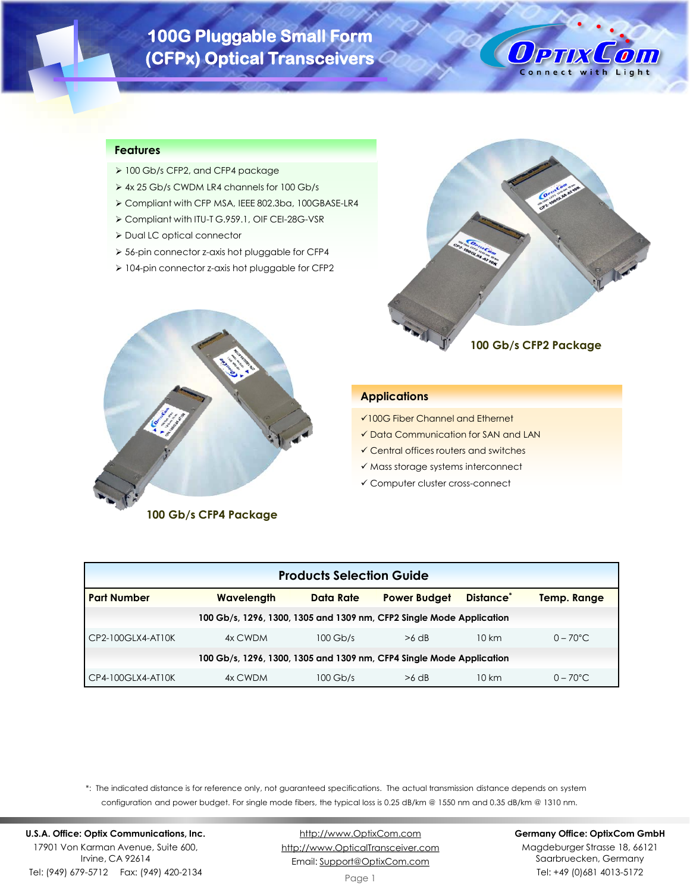# **100G Pluggable Small Form (CFPx) Optical Transceivers**



# **Features**

- ➢ 100 Gb/s CFP2, and CFP4 package
- ➢ 4x 25 Gb/s CWDM LR4 channels for 100 Gb/s
- ➢ Compliant with CFP MSA, IEEE 802.3ba, 100GBASE-LR4
- ➢ Compliant with ITU-T G.959.1, OIF CEI-28G-VSR
- ➢ Dual LC optical connector
- ➢ 56-pin connector z-axis hot pluggable for CFP4
- ➢ 104-pin connector z-axis hot pluggable for CFP2





**100 Gb/s CFP4 Package**

## **Applications**

- ✓100G Fiber Channel and Ethernet
- ✓ Data Communication for SAN and LAN
- ✓ Central offices routers and switches
- ✓ Mass storage systems interconnect
- ✓ Computer cluster cross-connect

| <b>Products Selection Guide</b>                                                                                            |                                                                      |            |         |       |                    |  |  |
|----------------------------------------------------------------------------------------------------------------------------|----------------------------------------------------------------------|------------|---------|-------|--------------------|--|--|
| Distance <sup>®</sup><br><b>Part Number</b><br><b>Power Budget</b><br><b>Wavelength</b><br>Data Rate<br><b>Temp. Range</b> |                                                                      |            |         |       |                    |  |  |
|                                                                                                                            | 100 Gb/s, 1296, 1300, 1305 and 1309 nm, CFP2 Single Mode Application |            |         |       |                    |  |  |
| CP2-100GLX4-AT10K                                                                                                          | 4x CWDM                                                              | $100$ Gb/s | $>6$ dB | 10 km | $0 - 70^{\circ}$ C |  |  |
| 100 Gb/s, 1296, 1300, 1305 and 1309 nm, CFP4 Single Mode Application                                                       |                                                                      |            |         |       |                    |  |  |
| CP4-100GLX4-AT10K                                                                                                          | 4x CWDM                                                              | $100$ Gb/s | $>6$ dB | 10 km | $0 - 70^{\circ}$ C |  |  |

\*: The indicated distance is for reference only, not guaranteed specifications. The actual transmission distance depends on system configuration and power budget. For single mode fibers, the typical loss is 0.25 dB/km @ 1550 nm and 0.35 dB/km @ 1310 nm.

**U.S.A. Office: Optix Communications, Inc.** 17901 Von Karman Avenue, Suite 600, Irvine, CA 92614 Tel: (949) 679-5712 Fax: (949) 420-2134

[http://www.OptixCom.com](http://www.optixcom.com/) [http://www.OpticalTransceiver.com](http://www.optoictech.com/) Email: [Support@OptixCom.com](mailto:Support@optoICtech.com)

#### **Germany Office: OptixCom GmbH**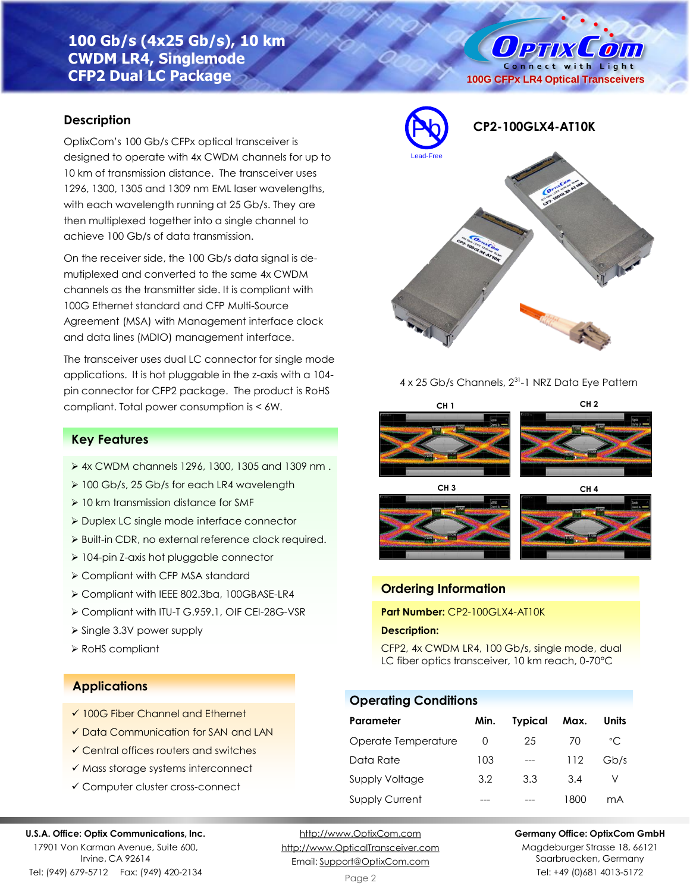# **100 Gb/s (4x25 Gb/s), 10 km CWDM LR4, Singlemode CFP2 Dual LC Package**

# **Description**

OptixCom's 100 Gb/s CFPx optical transceiver is designed to operate with 4x CWDM channels for up to 10 km of transmission distance. The transceiver uses 1296, 1300, 1305 and 1309 nm EML laser wavelengths, with each wavelength running at 25 Gb/s. They are then multiplexed together into a single channel to achieve 100 Gb/s of data transmission.

On the receiver side, the 100 Gb/s data signal is demutiplexed and converted to the same 4x CWDM channels as the transmitter side. It is compliant with 100G Ethernet standard and CFP Multi-Source Agreement (MSA) with Management interface clock and data lines (MDIO) management interface.

The transceiver uses dual LC connector for single mode applications. It is hot pluggable in the z-axis with a 104 pin connector for CFP2 package. The product is RoHS compliant. Total power consumption is < 6W.

# **Key Features**

- ➢ 4x CWDM channels 1296, 1300, 1305 and 1309 nm .
- ➢ 100 Gb/s, 25 Gb/s for each LR4 wavelength
- ➢ 10 km transmission distance for SMF
- ➢ Duplex LC single mode interface connector
- ➢ Built-in CDR, no external reference clock required.
- ➢ 104-pin Z-axis hot pluggable connector
- ➢ Compliant with CFP MSA standard
- ➢ Compliant with IEEE 802.3ba, 100GBASE-LR4
- ➢ Compliant with ITU-T G.959.1, OIF CEI-28G-VSR
- ➢ Single 3.3V power supply
- ➢ RoHS compliant

## **Applications**

- ✓ 100G Fiber Channel and Ethernet
- ✓ Data Communication for SAN and LAN
- ✓ Central offices routers and switches
- ✓ Mass storage systems interconnect
- ✓ Computer cluster cross-connect

### **U.S.A. Office: Optix Communications, Inc.**

17901 Von Karman Avenue, Suite 600, Irvine, CA 92614 Tel: (949) 679-5712 Fax: (949) 420-2134

[http://www.OptixCom.com](http://www.optixcom.com/) [http://www.OpticalTransceiver.com](http://www.optoictech.com/) Email: [Support@OptixCom.com](mailto:Support@optoICtech.com)



**100G CFPx LR4 Optical Transceivers**

**Ортіх Сопі** Connect with Light

## 4 x 25 Gb/s Channels, 2<sup>31</sup>-1 NRZ Data Eye Pattern







# **Ordering Information**

**Part Number:** CP2-100GLX4-AT10K

## **Description:**

CFP2, 4x CWDM LR4, 100 Gb/s, single mode, dual LC fiber optics transceiver, 10 km reach, 0-70°C

# **Operating Conditions**

| Parameter             | Min. | <b>Typical</b> | Max. | Units        |
|-----------------------|------|----------------|------|--------------|
| Operate Temperature   | O    | 25             | 70   | $^{\circ}$ C |
| Data Rate             | 103  | $---$          | 112  | Gb/s         |
| Supply Voltage        | 3.2  | 3.3            | 3.4  |              |
| <b>Supply Current</b> |      |                | 1800 | mA           |

**Germany Office: OptixCom GmbH**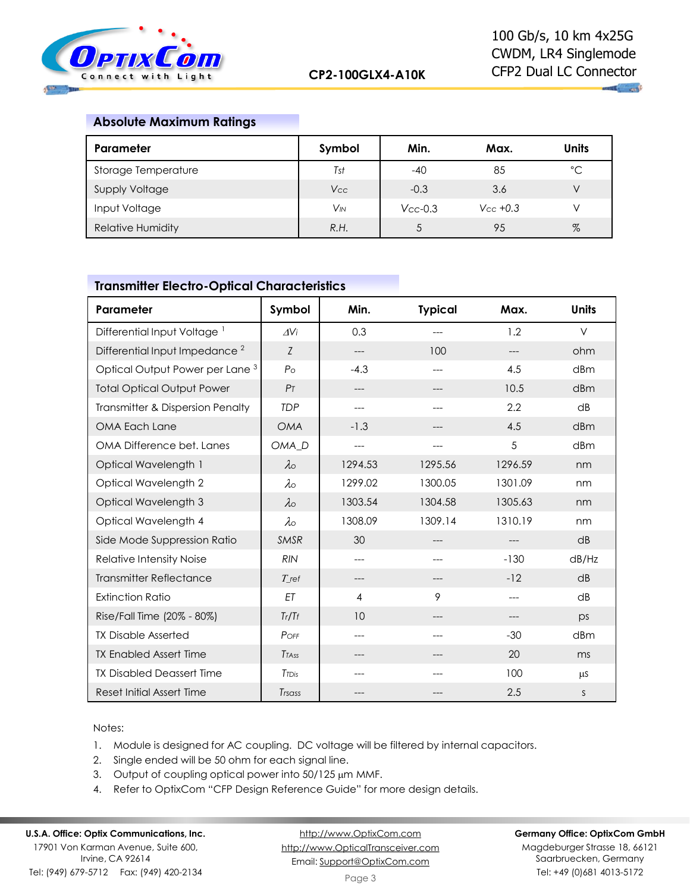

 $\mathbf{u}$  and

# **Absolute Maximum Ratings**

| <b>Parameter</b>         | Symbol          | Min.          | Max.          | <b>Units</b> |
|--------------------------|-----------------|---------------|---------------|--------------|
| Storage Temperature      | Tst             | $-40$         | 85            | °C           |
| <b>Supply Voltage</b>    | <b>Vcc</b>      | $-0.3$        | 3.6           | V            |
| Input Voltage            | V <sub>IN</sub> | $V_{CC}$ -0.3 | $V_{CC}$ +0.3 |              |
| <b>Relative Humidity</b> | R.H.            |               | 95            | $\%$         |

# **Transmitter Electro-Optical Characteristics**

| Parameter                                  | Symbol            | Min.    | <b>Typical</b> | Max.    | <b>Units</b> |
|--------------------------------------------|-------------------|---------|----------------|---------|--------------|
| Differential Input Voltage <sup>1</sup>    | $\Delta V$ i      | 0.3     |                | 1.2     | $\vee$       |
| Differential Input Impedance <sup>2</sup>  | Z                 | ---     | 100            | $---$   | ohm          |
| Optical Output Power per Lane <sup>3</sup> | $P_{\rm O}$       | $-4.3$  | ---            | 4.5     | dBm          |
| <b>Total Optical Output Power</b>          | P <sub>T</sub>    | ---     | ---            | 10.5    | dBm          |
| Transmitter & Dispersion Penalty           | <b>TDP</b>        | ---     |                | 2.2     | dB           |
| OMA Each Lane                              | <b>OMA</b>        | $-1.3$  | ---            | 4.5     | dBm          |
| OMA Difference bet. Lanes                  | OMA_D             | ---     | $---$          | 5       | dBm          |
| Optical Wavelength 1                       | $\lambda$         | 1294.53 | 1295.56        | 1296.59 | nm           |
| Optical Wavelength 2                       | $\lambda$ o       | 1299.02 | 1300.05        | 1301.09 | nm           |
| Optical Wavelength 3                       | $\lambda$         | 1303.54 | 1304.58        | 1305.63 | nm           |
| Optical Wavelength 4                       | $\lambda \circ$   | 1308.09 | 1309.14        | 1310.19 | nm           |
| Side Mode Suppression Ratio                | <b>SMSR</b>       | 30      | ---            | $---$   | dB           |
| Relative Intensity Noise                   | <b>RIN</b>        | ---     | ---            | $-130$  | dB/Hz        |
| <b>Transmitter Reflectance</b>             | $T$ ref           | $---$   | $---$          | $-12$   | dB           |
| <b>Extinction Ratio</b>                    | ET                | 4       | 9              | $---$   | dB           |
| Rise/Fall Time (20% - 80%)                 | Tr/Tf             | 10      | ---            | $---$   | DS           |
| <b>TX Disable Asserted</b>                 | POFF              | ---     |                | $-30$   | dBm          |
| <b>TX Enabled Assert Time</b>              | Trass             | ---     | ---            | 20      | ms           |
| <b>TX Disabled Deassert Time</b>           | T <sub>TDis</sub> | ---     |                | 100     | μS           |
| Reset Initial Assert Time                  | Trsass            | ---     |                | 2.5     | S            |

Notes:

- 1. Module is designed for AC coupling. DC voltage will be filtered by internal capacitors.
- 2. Single ended will be 50 ohm for each signal line.
- 3. Output of coupling optical power into 50/125 µm MMF.
- 4. Refer to OptixCom "CFP Design Reference Guide" for more design details.

# **U.S.A. Office: Optix Communications, Inc.**

17901 Von Karman Avenue, Suite 600, Irvine, CA 92614 Tel: (949) 679-5712 Fax: (949) 420-2134

[http://www.OptixCom.com](http://www.optixcom.com/) [http://www.OpticalTransceiver.com](http://www.optoictech.com/) Email: [Support@OptixCom.com](mailto:Support@optoICtech.com)

### **Germany Office: OptixCom GmbH**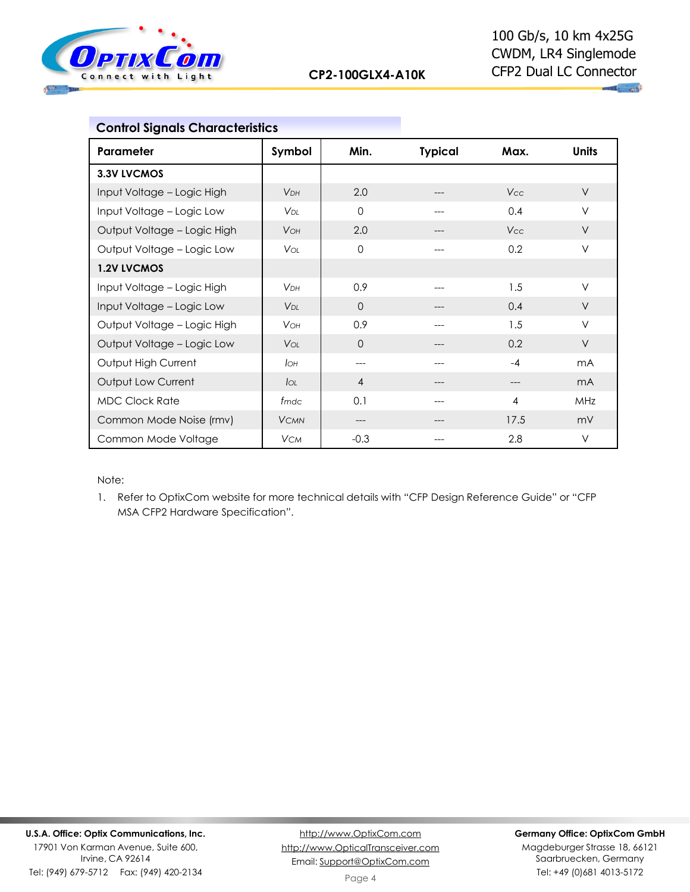

| <b>Control Signals Characteristics</b> |                        |                |                |            |                |
|----------------------------------------|------------------------|----------------|----------------|------------|----------------|
| Parameter                              | Symbol                 | Min.           | <b>Typical</b> | Max.       | <b>Units</b>   |
| 3.3V LVCMOS                            |                        |                |                |            |                |
| Input Voltage - Logic High             | <b>V<sub>DH</sub></b>  | 2.0            |                | <b>Vcc</b> | $\vee$         |
| Input Voltage - Logic Low              | <b>V</b> <sub>DI</sub> | $\Omega$       | ---            | 0.4        | $\vee$         |
| Output Voltage - Logic High            | <b>VOH</b>             | 2.0            |                | <b>Vcc</b> | $\vee$         |
| Output Voltage - Logic Low             | <b>V</b> or            | $\Omega$       | ---            | 0.2        | $\vee$         |
| <b>1.2V LVCMOS</b>                     |                        |                |                |            |                |
| Input Voltage - Logic High             | V <sub>DH</sub>        | 0.9            |                | 1.5        | V              |
| Input Voltage - Logic Low              | V <sub>DI</sub>        | $\Omega$       | ---            | 0.4        | $\vee$         |
| Output Voltage - Logic High            | <b>VOH</b>             | 0.9            | ---            | 1.5        | $\vee$         |
| Output Voltage - Logic Low             | <b>V</b> ol            | $\Omega$       |                | 0.2        | $\vee$         |
| Output High Current                    | Iон                    | ---            |                | $-4$       | m <sub>A</sub> |
| Output Low Current                     | $I_{OL}$               | $\overline{4}$ | ---            | ---        | m <sub>A</sub> |
| <b>MDC Clock Rate</b>                  | fmdc                   | 0.1            |                | 4          | MHz            |
| Common Mode Noise (rmv)                | <b>VCMN</b>            | ---            |                | 17.5       | mV             |
| Common Mode Voltage                    | <b>VCM</b>             | $-0.3$         | ---            | 2.8        | $\vee$         |

Note:

1. Refer to OptixCom website for more technical details with "CFP Design Reference Guide" or "CFP MSA CFP2 Hardware Specification".

Tel: (949) 679-5712 Fax: (949) 420-2134

## **Germany Office: OptixCom GmbH**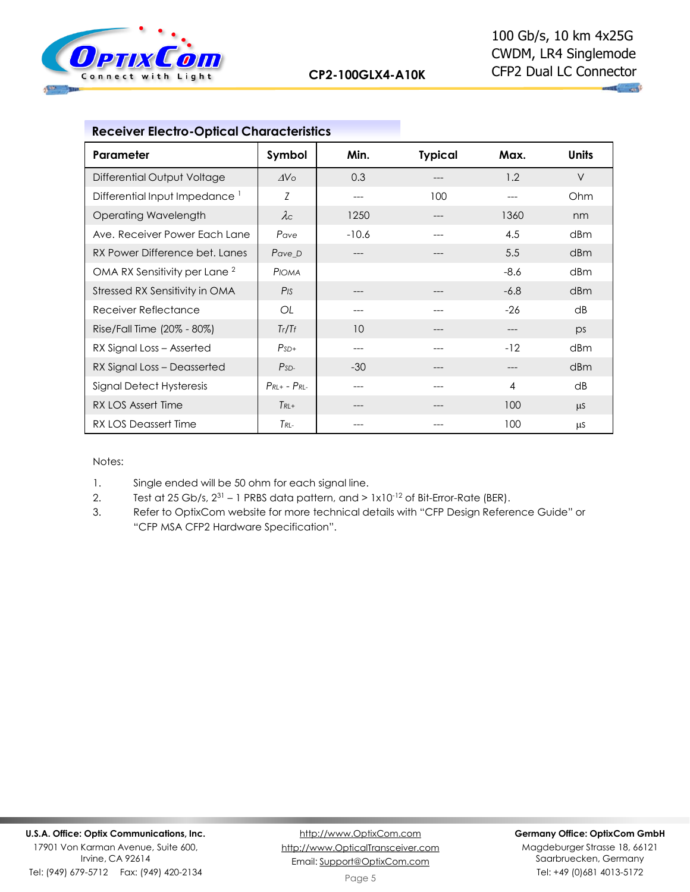

|  | <b>Receiver Electro-Optical Characteristics</b> |
|--|-------------------------------------------------|
|--|-------------------------------------------------|

| Parameter                                 | Symbol                | Min.    | <b>Typical</b> | Max.           | <b>Units</b> |
|-------------------------------------------|-----------------------|---------|----------------|----------------|--------------|
| Differential Output Voltage               | $\Delta V \circ$      | 0.3     |                | 1.2            | $\vee$       |
| Differential Input Impedance <sup>1</sup> | Z                     | $---$   | 100            | ---            | Ohm          |
| <b>Operating Wavelength</b>               | $\lambda c$           | 1250    |                | 1360           | nm           |
| Ave. Receiver Power Each Lane             | Pave                  | $-10.6$ |                | 4.5            | dBm          |
| RX Power Difference bet. Lanes            | Pave_D                |         |                | 5.5            | dBm          |
| OMA RX Sensitivity per Lane <sup>2</sup>  | PIOMA                 |         |                | $-8.6$         | dBm          |
| Stressed RX Sensitivity in OMA            | $P$ <sub>IS</sub>     |         |                | $-6.8$         | dBm          |
| Receiver Reflectance                      | OL                    |         |                | $-26$          | dB           |
| Rise/Fall Time (20% - 80%)                | Tr/Tf                 | 10      |                | ---            | ps           |
| RX Signal Loss - Asserted                 | $PsD+$                |         |                | $-12$          | dBm          |
| RX Signal Loss - Deasserted               | $PsD-$                | $-30$   |                | ---            | dBm          |
| Signal Detect Hysteresis                  | $P_{RL+}$ - $P_{RL-}$ |         |                | $\overline{4}$ | dB           |
| RX LOS Assert Time                        | $Tk+$                 |         |                | 100            | $\mu$ S      |
| RX LOS Deassert Time                      | $T_{RL}$              |         |                | 100            | μS           |

Notes:

1. Single ended will be 50 ohm for each signal line.

- 2. Test at 25 Gb/s,  $2^{31}$  1 PRBS data pattern, and >  $1 \times 10^{-12}$  of Bit-Error-Rate (BER).
- 3. Refer to OptixCom website for more technical details with "CFP Design Reference Guide" or "CFP MSA CFP2 Hardware Specification".

Irvine, CA 92614 Tel: (949) 679-5712 Fax: (949) 420-2134

[http://www.OptixCom.com](http://www.optixcom.com/) [http://www.OpticalTransceiver.com](http://www.optoictech.com/) Email: [Support@OptixCom.com](mailto:Support@optoICtech.com)

## **Germany Office: OptixCom GmbH**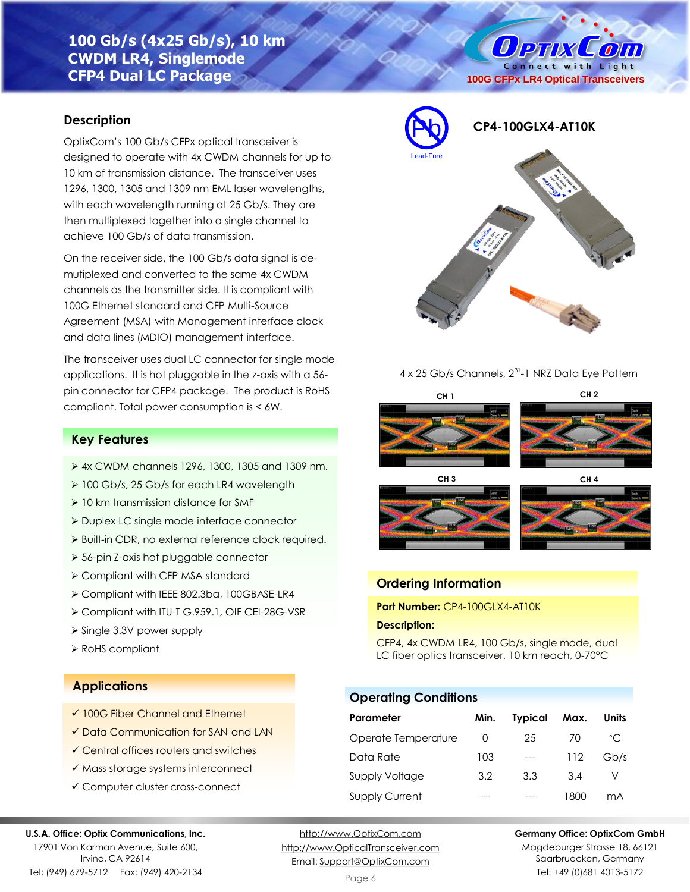# **100 Gb/s (4x25 Gb/s), 10 km CWDM LR4, Singlemode CFP4 Dual LC Package**

# **Description**

OptixCom's 100 Gb/s CFPx optical transceiver is designed to operate with 4x CWDM channels for up to 10 km of transmission distance. The transceiver uses 1296, 1300, 1305 and 1309 nm EML laser wavelengths, with each wavelength running at 25 Gb/s. They are then multiplexed together into a single channel to achieve 100 Gb/s of data transmission.

On the receiver side, the 100 Gb/s data signal is demutiplexed and converted to the same 4x CWDM channels as the transmitter side. It is compliant with 100G Ethernet standard and CFP Multi-Source Agreement (MSA) with Management interface clock and data lines (MDIO) management interface.

The transceiver uses dual LC connector for single mode applications. It is hot pluggable in the z-axis with a 56 pin connector for CFP4 package. The product is RoHS compliant. Total power consumption is < 6W.

# **Key Features**

- ➢ 4x CWDM channels 1296, 1300, 1305 and 1309 nm.
- ➢ 100 Gb/s, 25 Gb/s for each LR4 wavelength
- ➢ 10 km transmission distance for SMF
- ➢ Duplex LC single mode interface connector
- ➢ Built-in CDR, no external reference clock required.
- ➢ 56-pin Z-axis hot pluggable connector
- ➢ Compliant with CFP MSA standard
- ➢ Compliant with IEEE 802.3ba, 100GBASE-LR4
- ➢ Compliant with ITU-T G.959.1, OIF CEI-28G-VSR
- ➢ Single 3.3V power supply
- ➢ RoHS compliant

# **Applications**

- ✓ 100G Fiber Channel and Ethernet
- ✓ Data Communication for SAN and LAN
- ✓ Central offices routers and switches
- ✓ Mass storage systems interconnect
- ✓ Computer cluster cross-connect

#### **U.S.A. Office: Optix Communications, Inc.**

17901 Von Karman Avenue, Suite 600, Irvine, CA 92614 Tel: (949) 679-5712 Fax: (949) 420-2134

[http://www.OptixCom.com](http://www.optixcom.com/) [http://www.OpticalTransceiver.com](http://www.optoictech.com/) Email: [Support@OptixCom.com](mailto:Support@optoICtech.com)

Page 6

## **Germany Office: OptixCom GmbH**

Magdeburger Strasse 18, 66121 Saarbruecken, Germany Tel: +49 (0)681 4013-5172



# 4 x 25 Gb/s Channels, 2<sup>31</sup>-1 NRZ Data Eye Pattern









## **Ordering Information**

**Part Number:** CP4-100GLX4-AT10K

## **Description:**

CFP4, 4x CWDM LR4, 100 Gb/s, single mode, dual LC fiber optics transceiver, 10 km reach, 0-70°C

## **Operating Conditions**

| Parameter             | Min.     | <b>Typical</b> | Max. | Units        |
|-----------------------|----------|----------------|------|--------------|
| Operate Temperature   | $\Omega$ | 25             | 70   | $^{\circ}$ C |
| Data Rate             | 103      | $---$          | 112  | Gb/s         |
| Supply Voltage        | 3.2      | 3.3            | 3.4  |              |
| <b>Supply Current</b> |          |                | 1800 | mA           |

**OPTIX**  $\mathcal{L}$  oin Connect with Light **100G CFPx LR4 Optical Transceivers**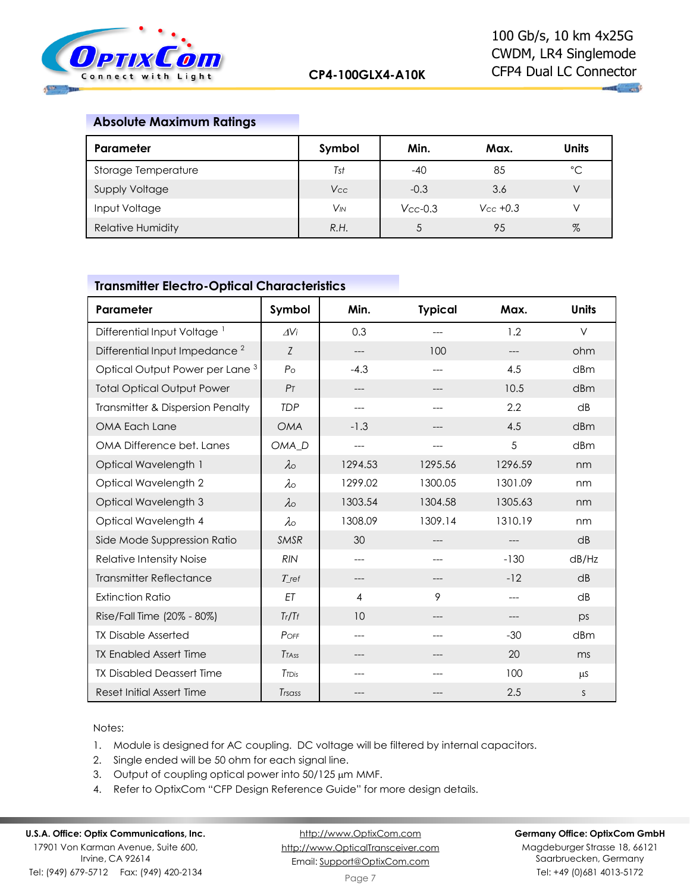

 $\mathbf{u}_1$  and

# **Absolute Maximum Ratings**

| <b>Parameter</b>         | Symbol   | Min.          | Max.           | <b>Units</b> |
|--------------------------|----------|---------------|----------------|--------------|
| Storage Temperature      | Tst      | $-40$         | 85             | $^{\circ}C$  |
| <b>Supply Voltage</b>    | Vcc      | $-0.3$        | 3.6            |              |
| Input Voltage            | $V_{IN}$ | $V_{CC}$ -0.3 | $V_{CC} + 0.3$ |              |
| <b>Relative Humidity</b> | R.H.     |               | 95             | $\%$         |

# **Transmitter Electro-Optical Characteristics**

| Parameter                                  | Symbol            | Min.    | <b>Typical</b> | Max.    | <b>Units</b> |
|--------------------------------------------|-------------------|---------|----------------|---------|--------------|
| Differential Input Voltage <sup>1</sup>    | AVi               | 0.3     | ---            | 1.2     | $\vee$       |
| Differential Input Impedance <sup>2</sup>  | Z                 | ---     | 100            | $---$   | ohm          |
| Optical Output Power per Lane <sup>3</sup> | $P_{\rm O}$       | $-4.3$  | ---            | 4.5     | dBm          |
| <b>Total Optical Output Power</b>          | P <sub>T</sub>    | ---     |                | 10.5    | dBm          |
| Transmitter & Dispersion Penalty           | <b>TDP</b>        | ---     | $-$ --         | 2.2     | dB           |
| OMA Each Lane                              | <b>OMA</b>        | $-1.3$  | ---            | 4.5     | dBm          |
| OMA Difference bet. Lanes                  | OMA <sub>D</sub>  | ---     | ---            | 5       | dBm          |
| Optical Wavelength 1                       | $\lambda \circ$   | 1294.53 | 1295.56        | 1296.59 | nm           |
| Optical Wavelength 2                       | $\lambda \circ$   | 1299.02 | 1300.05        | 1301.09 | nm           |
| Optical Wavelength 3                       | $\lambda \circ$   | 1303.54 | 1304.58        | 1305.63 | nm           |
| Optical Wavelength 4                       | $\lambda \circ$   | 1308.09 | 1309.14        | 1310.19 | nm           |
| Side Mode Suppression Ratio                | <b>SMSR</b>       | 30      | ---            | $---$   | dB           |
| <b>Relative Intensity Noise</b>            | <b>RIN</b>        | ---     |                | $-130$  | dB/Hz        |
| <b>Transmitter Reflectance</b>             | $T_{\rm ref}$     | ---     | ---            | $-12$   | dB           |
| <b>Extinction Ratio</b>                    | ET                | 4       | 9              | $---$   | dB           |
| Rise/Fall Time (20% - 80%)                 | Tr/Tf             | 10      | ---            | $---$   | ps           |
| <b>TX Disable Asserted</b>                 | POFF              | ---     |                | $-30$   | dBm          |
| <b>TX Enabled Assert Time</b>              | <b>TTASS</b>      | ---     | ---            | 20      | ms           |
| <b>TX Disabled Deassert Time</b>           | T <sub>TDis</sub> | ---     |                | 100     | μS           |
| <b>Reset Initial Assert Time</b>           | Trsass            | ---     |                | 2.5     | S            |

Notes:

- 1. Module is designed for AC coupling. DC voltage will be filtered by internal capacitors.
- 2. Single ended will be 50 ohm for each signal line.
- 3. Output of coupling optical power into 50/125 µm MMF.
- 4. Refer to OptixCom "CFP Design Reference Guide" for more design details.

# **U.S.A. Office: Optix Communications, Inc.**

17901 Von Karman Avenue, Suite 600, Irvine, CA 92614 Tel: (949) 679-5712 Fax: (949) 420-2134

[http://www.OptixCom.com](http://www.optixcom.com/) [http://www.OpticalTransceiver.com](http://www.optoictech.com/) Email: [Support@OptixCom.com](mailto:Support@optoICtech.com)

### **Germany Office: OptixCom GmbH**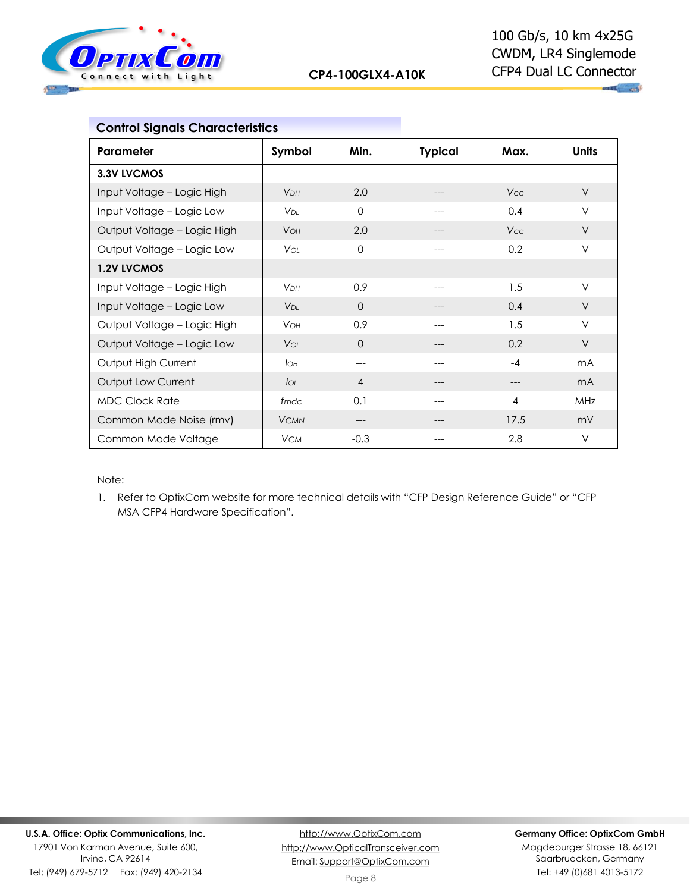

| <b>Control Signals Characteristics</b> |                        |                |                |            |                |
|----------------------------------------|------------------------|----------------|----------------|------------|----------------|
| Parameter                              | Symbol                 | Min.           | <b>Typical</b> | Max.       | <b>Units</b>   |
| 3.3V LVCMOS                            |                        |                |                |            |                |
| Input Voltage - Logic High             | V <sub>DH</sub>        | 2.0            | ---            | <b>Vcc</b> | $\vee$         |
| Input Voltage - Logic Low              | V <sub>DI</sub>        | $\mathbf 0$    | ---            | 0.4        | $\vee$         |
| Output Voltage - Logic High            | <b>VOH</b>             | 2.0            | ---            | <b>Vcc</b> | $\vee$         |
| Output Voltage - Logic Low             | <b>V</b> ol            | $\mathbf 0$    |                | 0.2        | $\vee$         |
| 1.2V LVCMOS                            |                        |                |                |            |                |
| Input Voltage - Logic High             | <b>VDH</b>             | 0.9            |                | 1.5        | V              |
| Input Voltage - Logic Low              | <b>V</b> <sub>DI</sub> | $\Omega$       |                | 0.4        | $\vee$         |
| Output Voltage - Logic High            | <b>VOH</b>             | 0.9            | ---            | 1.5        | $\vee$         |
| Output Voltage - Logic Low             | <b>VOL</b>             | $\Omega$       |                | 0.2        | $\vee$         |
| Output High Current                    | Iон                    | ---            |                | $-4$       | m <sub>A</sub> |
| Output Low Current                     | $I_{OL}$               | $\overline{4}$ |                |            | m <sub>A</sub> |
| <b>MDC Clock Rate</b>                  | fmdc                   | 0.1            |                | 4          | MHz            |
| Common Mode Noise (rmv)                | <b>VCMN</b>            | ---            | ---            | 17.5       | mV             |
| Common Mode Voltage                    | <b>VCM</b>             | $-0.3$         | ---            | 2.8        | V              |

Note:

1. Refer to OptixCom website for more technical details with "CFP Design Reference Guide" or "CFP MSA CFP4 Hardware Specification".

Tel: (949) 679-5712 Fax: (949) 420-2134

## **Germany Office: OptixCom GmbH**